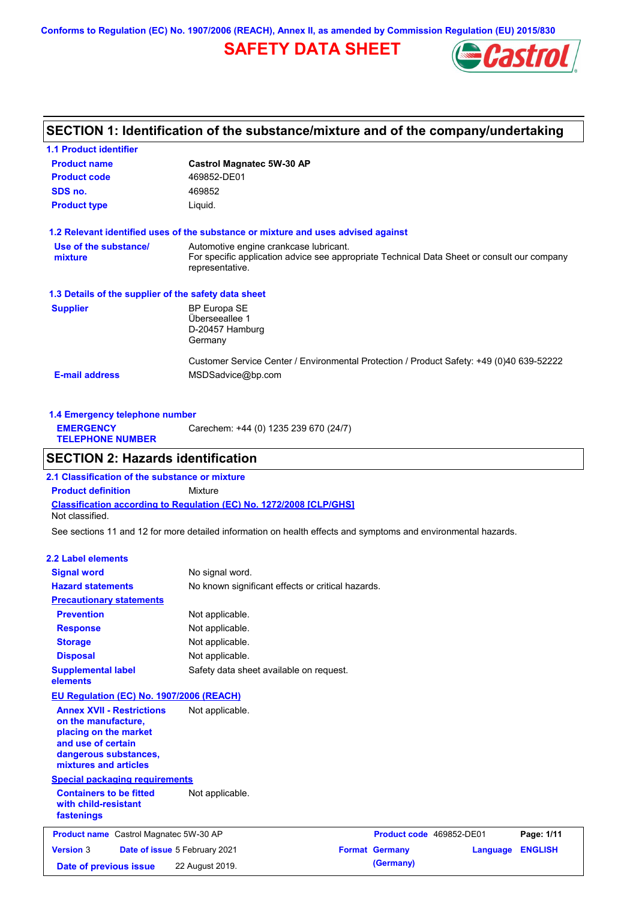**Conforms to Regulation (EC) No. 1907/2006 (REACH), Annex II, as amended by Commission Regulation (EU) 2015/830**

# **SAFETY DATA SHEET**



# **SECTION 1: Identification of the substance/mixture and of the company/undertaking**

| <b>1.1 Product identifier</b>                        |                                                                                                                                                          |
|------------------------------------------------------|----------------------------------------------------------------------------------------------------------------------------------------------------------|
| <b>Product name</b>                                  | <b>Castrol Magnatec 5W-30 AP</b>                                                                                                                         |
| <b>Product code</b>                                  | 469852-DE01                                                                                                                                              |
| SDS no.                                              | 469852                                                                                                                                                   |
| <b>Product type</b>                                  | Liquid.                                                                                                                                                  |
|                                                      | 1.2 Relevant identified uses of the substance or mixture and uses advised against                                                                        |
| Use of the substance/<br>mixture                     | Automotive engine crankcase lubricant.<br>For specific application advice see appropriate Technical Data Sheet or consult our company<br>representative. |
| 1.3 Details of the supplier of the safety data sheet |                                                                                                                                                          |
| <b>Supplier</b>                                      | <b>BP Europa SE</b><br>Überseeallee 1<br>D-20457 Hamburg<br>Germany                                                                                      |
| <b>E-mail address</b>                                | Customer Service Center / Environmental Protection / Product Safety: +49 (0)40 639-52222<br>MSDSadvice@bp.com                                            |

| 1.4 Emergency telephone number              |                                       |
|---------------------------------------------|---------------------------------------|
| <b>EMERGENCY</b><br><b>TELEPHONE NUMBER</b> | Carechem: +44 (0) 1235 239 670 (24/7) |

# **SECTION 2: Hazards identification**

**Classification according to Regulation (EC) No. 1272/2008 [CLP/GHS] 2.1 Classification of the substance or mixture Product definition** Mixture Not classified.

See sections 11 and 12 for more detailed information on health effects and symptoms and environmental hazards.

### **2.2 Label elements**

| <b>Signal word</b>                                                                                                                                       | No signal word.                                   |                          |          |                |
|----------------------------------------------------------------------------------------------------------------------------------------------------------|---------------------------------------------------|--------------------------|----------|----------------|
| <b>Hazard statements</b>                                                                                                                                 | No known significant effects or critical hazards. |                          |          |                |
| <b>Precautionary statements</b>                                                                                                                          |                                                   |                          |          |                |
| <b>Prevention</b>                                                                                                                                        | Not applicable.                                   |                          |          |                |
| <b>Response</b>                                                                                                                                          | Not applicable.                                   |                          |          |                |
| <b>Storage</b>                                                                                                                                           | Not applicable.                                   |                          |          |                |
| <b>Disposal</b>                                                                                                                                          | Not applicable.                                   |                          |          |                |
| <b>Supplemental label</b><br>elements                                                                                                                    | Safety data sheet available on request.           |                          |          |                |
| EU Regulation (EC) No. 1907/2006 (REACH)                                                                                                                 |                                                   |                          |          |                |
| <b>Annex XVII - Restrictions</b><br>on the manufacture,<br>placing on the market<br>and use of certain<br>dangerous substances,<br>mixtures and articles | Not applicable.                                   |                          |          |                |
| <b>Special packaging requirements</b>                                                                                                                    |                                                   |                          |          |                |
| <b>Containers to be fitted</b><br>with child-resistant<br>fastenings                                                                                     | Not applicable.                                   |                          |          |                |
| Product name Castrol Magnatec 5W-30 AP                                                                                                                   |                                                   | Product code 469852-DE01 |          | Page: 1/11     |
| <b>Version 3</b>                                                                                                                                         | Date of issue 5 February 2021                     | <b>Format Germany</b>    | Language | <b>ENGLISH</b> |
| Date of previous issue                                                                                                                                   | 22 August 2019.                                   | (Germany)                |          |                |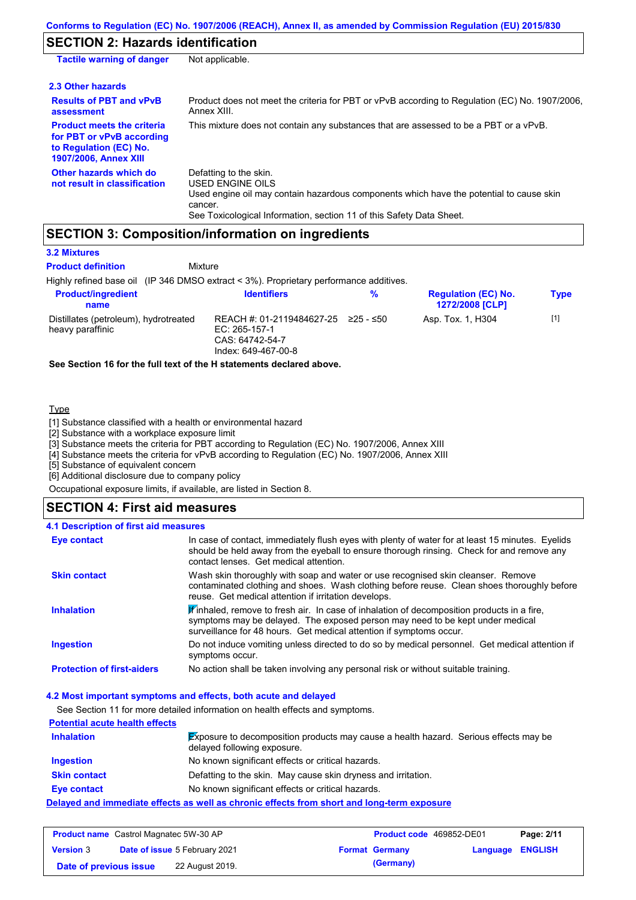# **SECTION 2: Hazards identification**

| <b>Tactile warning of danger</b>                                                                                         | Not applicable.                                                                                                                                                                                                          |
|--------------------------------------------------------------------------------------------------------------------------|--------------------------------------------------------------------------------------------------------------------------------------------------------------------------------------------------------------------------|
| 2.3 Other hazards                                                                                                        |                                                                                                                                                                                                                          |
| <b>Results of PBT and vPvB</b><br>assessment                                                                             | Product does not meet the criteria for PBT or vPvB according to Regulation (EC) No. 1907/2006.<br>Annex XIII.                                                                                                            |
| <b>Product meets the criteria</b><br>for PBT or vPvB according<br>to Regulation (EC) No.<br><b>1907/2006, Annex XIII</b> | This mixture does not contain any substances that are assessed to be a PBT or a vPvB.                                                                                                                                    |
| Other hazards which do<br>not result in classification                                                                   | Defatting to the skin.<br>USED ENGINE OILS<br>Used engine oil may contain hazardous components which have the potential to cause skin<br>cancer.<br>See Toxicological Information, section 11 of this Safety Data Sheet. |

### **SECTION 3: Composition/information on ingredients**

#### **3.2 Mixtures**

**Product definition**

Mixture

Highly refined base oil (IP 346 DMSO extract < 3%). Proprietary performance additives.

| <b>Product/ingredient</b><br>name                         | <b>Identifiers</b>                                                                                         | % | <b>Regulation (EC) No.</b><br><b>1272/2008 [CLP]</b> | Type  |
|-----------------------------------------------------------|------------------------------------------------------------------------------------------------------------|---|------------------------------------------------------|-------|
| Distillates (petroleum), hydrotreated<br>heavy paraffinic | REACH #: 01-2119484627-25 $\geq$ 25 - $\leq$ 50<br>EC: 265-157-1<br>CAS: 64742-54-7<br>Index: 649-467-00-8 |   | Asp. Tox. 1, H304                                    | $[1]$ |

**See Section 16 for the full text of the H statements declared above.**

#### **Type**

[1] Substance classified with a health or environmental hazard

[2] Substance with a workplace exposure limit

[3] Substance meets the criteria for PBT according to Regulation (EC) No. 1907/2006, Annex XIII

[4] Substance meets the criteria for vPvB according to Regulation (EC) No. 1907/2006, Annex XIII

[5] Substance of equivalent concern

[6] Additional disclosure due to company policy

Occupational exposure limits, if available, are listed in Section 8.

### **SECTION 4: First aid measures**

#### Do not induce vomiting unless directed to do so by medical personnel. Get medical attention if symptoms occur. In case of contact, immediately flush eyes with plenty of water for at least 15 minutes. Eyelids should be held away from the eyeball to ensure thorough rinsing. Check for and remove any contact lenses. Get medical attention. **4.1 Description of first aid measures**  $\mathbb F$  inhaled, remove to fresh air. In case of inhalation of decomposition products in a fire, symptoms may be delayed. The exposed person may need to be kept under medical surveillance for 48 hours. Get medical attention if symptoms occur. **Ingestion Inhalation Eye contact Protection of first-aiders** No action shall be taken involving any personal risk or without suitable training. **Skin contact** Wash skin thoroughly with soap and water or use recognised skin cleanser. Remove contaminated clothing and shoes. Wash clothing before reuse. Clean shoes thoroughly before reuse. Get medical attention if irritation develops.

### **4.2 Most important symptoms and effects, both acute and delayed**

See Section 11 for more detailed information on health effects and symptoms.

# **Potential acute health effects**

| <b>Inhalation</b>   | <b>Exposure to decomposition products may cause a health hazard.</b> Serious effects may be<br>delayed following exposure. |
|---------------------|----------------------------------------------------------------------------------------------------------------------------|
| <b>Ingestion</b>    | No known significant effects or critical hazards.                                                                          |
| <b>Skin contact</b> | Defatting to the skin. May cause skin dryness and irritation.                                                              |
| <b>Eye contact</b>  | No known significant effects or critical hazards.                                                                          |
|                     | Delayed and immediate effects as well as chronic effects from short and long-term exposure                                 |

| <b>Product name</b> Castrol Magnatec 5W-30 AP |  |                                      | Product code 469852-DE01 | Page: 2/11            |                  |  |
|-----------------------------------------------|--|--------------------------------------|--------------------------|-----------------------|------------------|--|
| <b>Version 3</b>                              |  | <b>Date of issue 5 February 2021</b> |                          | <b>Format Germany</b> | Language ENGLISH |  |
| Date of previous issue                        |  | 22 August 2019.                      |                          | (Germany)             |                  |  |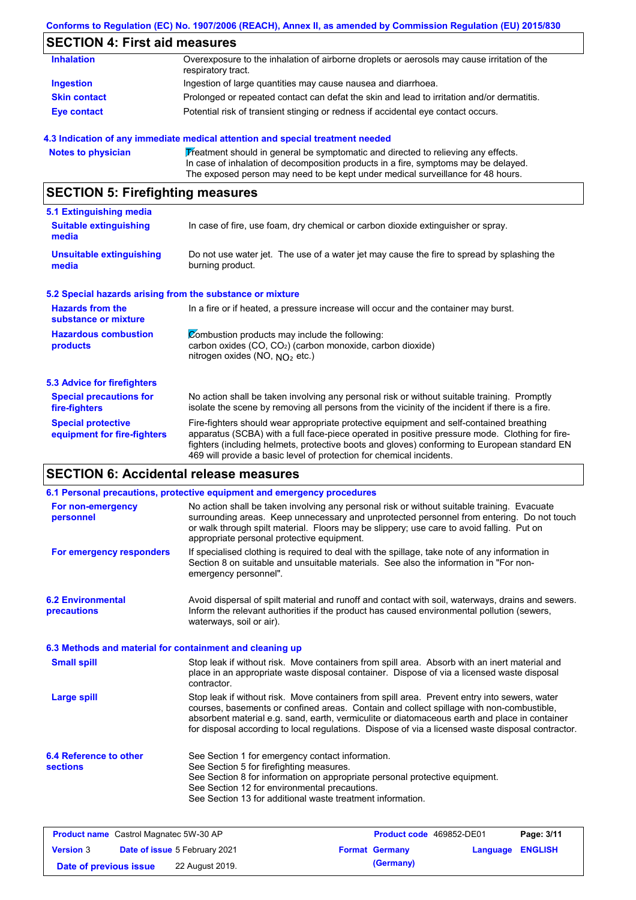### **Conforms to Regulation (EC) No. 1907/2006 (REACH), Annex II, as amended by Commission Regulation (EU) 2015/830**

# **SECTION 4: First aid measures**

| <b>Inhalation</b>   | Overexposure to the inhalation of airborne droplets or aerosols may cause irritation of the<br>respiratory tract. |
|---------------------|-------------------------------------------------------------------------------------------------------------------|
| Ingestion           | Ingestion of large quantities may cause nausea and diarrhoea.                                                     |
| <b>Skin contact</b> | Prolonged or repeated contact can defat the skin and lead to irritation and/or dermatitis.                        |
| <b>Eye contact</b>  | Potential risk of transient stinging or redness if accidental eye contact occurs.                                 |

### **4.3 Indication of any immediate medical attention and special treatment needed**

```
Notes to physician Theatment should in general be symptomatic and directed to relieving any effects.
                   In case of inhalation of decomposition products in a fire, symptoms may be delayed.
                   The exposed person may need to be kept under medical surveillance for 48 hours.
```
# **SECTION 5: Firefighting measures**

| 5.1 Extinguishing media                                   |                                                                                                                                                                                                                                                                                                                                                                   |  |
|-----------------------------------------------------------|-------------------------------------------------------------------------------------------------------------------------------------------------------------------------------------------------------------------------------------------------------------------------------------------------------------------------------------------------------------------|--|
| <b>Suitable extinguishing</b><br>media                    | In case of fire, use foam, dry chemical or carbon dioxide extinguisher or spray.                                                                                                                                                                                                                                                                                  |  |
| <b>Unsuitable extinguishing</b><br>media                  | Do not use water jet. The use of a water jet may cause the fire to spread by splashing the<br>burning product.                                                                                                                                                                                                                                                    |  |
| 5.2 Special hazards arising from the substance or mixture |                                                                                                                                                                                                                                                                                                                                                                   |  |
| <b>Hazards from the</b><br>substance or mixture           | In a fire or if heated, a pressure increase will occur and the container may burst.                                                                                                                                                                                                                                                                               |  |
| <b>Hazardous combustion</b><br>products                   | Combustion products may include the following:<br>carbon oxides (CO, CO <sub>2</sub> ) (carbon monoxide, carbon dioxide)<br>nitrogen oxides (NO, $NO2$ etc.)                                                                                                                                                                                                      |  |
| 5.3 Advice for firefighters                               |                                                                                                                                                                                                                                                                                                                                                                   |  |
| <b>Special precautions for</b><br>fire-fighters           | No action shall be taken involving any personal risk or without suitable training. Promptly<br>isolate the scene by removing all persons from the vicinity of the incident if there is a fire.                                                                                                                                                                    |  |
| <b>Special protective</b><br>equipment for fire-fighters  | Fire-fighters should wear appropriate protective equipment and self-contained breathing<br>apparatus (SCBA) with a full face-piece operated in positive pressure mode. Clothing for fire-<br>fighters (including helmets, protective boots and gloves) conforming to European standard EN<br>469 will provide a basic level of protection for chemical incidents. |  |

# **SECTION 6: Accidental release measures**

|                                                          | 6.1 Personal precautions, protective equipment and emergency procedures                                                                                                                                                                                                                                                                                                                        |
|----------------------------------------------------------|------------------------------------------------------------------------------------------------------------------------------------------------------------------------------------------------------------------------------------------------------------------------------------------------------------------------------------------------------------------------------------------------|
| For non-emergency<br>personnel                           | No action shall be taken involving any personal risk or without suitable training. Evacuate<br>surrounding areas. Keep unnecessary and unprotected personnel from entering. Do not touch<br>or walk through spilt material. Floors may be slippery; use care to avoid falling. Put on<br>appropriate personal protective equipment.                                                            |
| For emergency responders                                 | If specialised clothing is required to deal with the spillage, take note of any information in<br>Section 8 on suitable and unsuitable materials. See also the information in "For non-<br>emergency personnel".                                                                                                                                                                               |
| <b>6.2 Environmental</b><br><b>precautions</b>           | Avoid dispersal of spilt material and runoff and contact with soil, waterways, drains and sewers.<br>Inform the relevant authorities if the product has caused environmental pollution (sewers,<br>waterways, soil or air).                                                                                                                                                                    |
| 6.3 Methods and material for containment and cleaning up |                                                                                                                                                                                                                                                                                                                                                                                                |
| <b>Small spill</b>                                       | Stop leak if without risk. Move containers from spill area. Absorb with an inert material and<br>place in an appropriate waste disposal container. Dispose of via a licensed waste disposal<br>contractor.                                                                                                                                                                                     |
| <b>Large spill</b>                                       | Stop leak if without risk. Move containers from spill area. Prevent entry into sewers, water<br>courses, basements or confined areas. Contain and collect spillage with non-combustible,<br>absorbent material e.g. sand, earth, vermiculite or diatomaceous earth and place in container<br>for disposal according to local regulations. Dispose of via a licensed waste disposal contractor. |
| 6.4 Reference to other                                   | See Section 1 for emergency contact information.                                                                                                                                                                                                                                                                                                                                               |
| <b>sections</b>                                          | See Section 5 for firefighting measures.                                                                                                                                                                                                                                                                                                                                                       |
|                                                          | See Section 8 for information on appropriate personal protective equipment.<br>See Section 12 for environmental precautions.                                                                                                                                                                                                                                                                   |
|                                                          |                                                                                                                                                                                                                                                                                                                                                                                                |

| <b>Product name</b> Castrol Magnatec 5W-30 AP |                                      |                       | <b>Product code</b> 469852-DE01 | Page: 3/11 |
|-----------------------------------------------|--------------------------------------|-----------------------|---------------------------------|------------|
| <b>Version 3</b>                              | <b>Date of issue 5 February 2021</b> | <b>Format Germany</b> | <b>Language ENGLISH</b>         |            |
| Date of previous issue                        | 22 August 2019.                      | (Germany)             |                                 |            |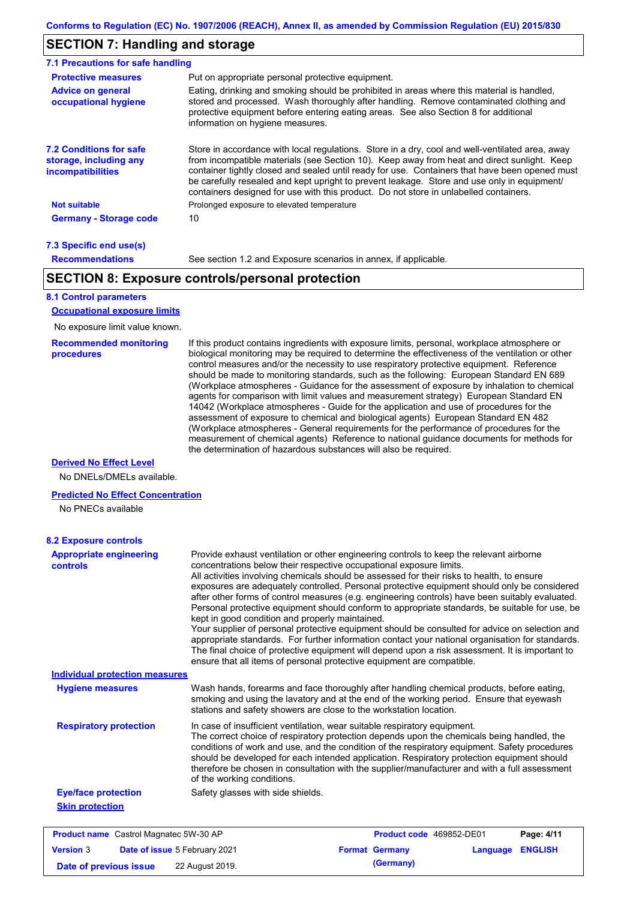### **SECTION 7: Handling and storage**

| <b>Protective measures</b>                                                    | Put on appropriate personal protective equipment.                                                                                                                                                                                                                                                                                                                                                                                                                                        |
|-------------------------------------------------------------------------------|------------------------------------------------------------------------------------------------------------------------------------------------------------------------------------------------------------------------------------------------------------------------------------------------------------------------------------------------------------------------------------------------------------------------------------------------------------------------------------------|
| <b>Advice on general</b><br>occupational hygiene                              | Eating, drinking and smoking should be prohibited in areas where this material is handled.<br>stored and processed. Wash thoroughly after handling. Remove contaminated clothing and<br>protective equipment before entering eating areas. See also Section 8 for additional<br>information on hygiene measures.                                                                                                                                                                         |
| <b>7.2 Conditions for safe</b><br>storage, including any<br>incompatibilities | Store in accordance with local regulations. Store in a dry, cool and well-ventilated area, away<br>from incompatible materials (see Section 10). Keep away from heat and direct sunlight. Keep<br>container tightly closed and sealed until ready for use. Containers that have been opened must<br>be carefully resealed and kept upright to prevent leakage. Store and use only in equipment/<br>containers designed for use with this product. Do not store in unlabelled containers. |
| <b>Not suitable</b>                                                           | Prolonged exposure to elevated temperature                                                                                                                                                                                                                                                                                                                                                                                                                                               |
| <b>Germany - Storage code</b>                                                 | 10                                                                                                                                                                                                                                                                                                                                                                                                                                                                                       |

#### **7.3 Specific end use(s) Recommendations**

See section 1.2 and Exposure scenarios in annex, if applicable.

### **SECTION 8: Exposure controls/personal protection**

### **8.1 Control parameters**

**Occupational exposure limits**

No exposure limit value known.

#### **Recommended monitoring procedures**

If this product contains ingredients with exposure limits, personal, workplace atmosphere or biological monitoring may be required to determine the effectiveness of the ventilation or other control measures and/or the necessity to use respiratory protective equipment. Reference should be made to monitoring standards, such as the following: European Standard EN 689 (Workplace atmospheres - Guidance for the assessment of exposure by inhalation to chemical agents for comparison with limit values and measurement strategy) European Standard EN 14042 (Workplace atmospheres - Guide for the application and use of procedures for the assessment of exposure to chemical and biological agents) European Standard EN 482 (Workplace atmospheres - General requirements for the performance of procedures for the measurement of chemical agents) Reference to national guidance documents for methods for the determination of hazardous substances will also be required.

#### **Derived No Effect Level**

No DNELs/DMELs available.

#### **Predicted No Effect Concentration**

No PNECs available

| <b>8.2 Exposure controls</b>                      |                                                                                                                                                                                                                                                                                                                                                                                                                                                                                                                                                                                                                                                                                                                                                                                                                                                                                                                                                                                                         |                          |          |                |
|---------------------------------------------------|---------------------------------------------------------------------------------------------------------------------------------------------------------------------------------------------------------------------------------------------------------------------------------------------------------------------------------------------------------------------------------------------------------------------------------------------------------------------------------------------------------------------------------------------------------------------------------------------------------------------------------------------------------------------------------------------------------------------------------------------------------------------------------------------------------------------------------------------------------------------------------------------------------------------------------------------------------------------------------------------------------|--------------------------|----------|----------------|
| <b>Appropriate engineering</b><br>controls        | Provide exhaust ventilation or other engineering controls to keep the relevant airborne<br>concentrations below their respective occupational exposure limits.<br>All activities involving chemicals should be assessed for their risks to health, to ensure<br>exposures are adequately controlled. Personal protective equipment should only be considered<br>after other forms of control measures (e.g. engineering controls) have been suitably evaluated.<br>Personal protective equipment should conform to appropriate standards, be suitable for use, be<br>kept in good condition and properly maintained.<br>Your supplier of personal protective equipment should be consulted for advice on selection and<br>appropriate standards. For further information contact your national organisation for standards.<br>The final choice of protective equipment will depend upon a risk assessment. It is important to<br>ensure that all items of personal protective equipment are compatible. |                          |          |                |
| <b>Individual protection measures</b>             |                                                                                                                                                                                                                                                                                                                                                                                                                                                                                                                                                                                                                                                                                                                                                                                                                                                                                                                                                                                                         |                          |          |                |
| <b>Hygiene measures</b>                           | Wash hands, forearms and face thoroughly after handling chemical products, before eating,<br>smoking and using the lavatory and at the end of the working period. Ensure that eyewash<br>stations and safety showers are close to the workstation location.                                                                                                                                                                                                                                                                                                                                                                                                                                                                                                                                                                                                                                                                                                                                             |                          |          |                |
| <b>Respiratory protection</b>                     | In case of insufficient ventilation, wear suitable respiratory equipment.<br>The correct choice of respiratory protection depends upon the chemicals being handled, the<br>conditions of work and use, and the condition of the respiratory equipment. Safety procedures<br>should be developed for each intended application. Respiratory protection equipment should<br>therefore be chosen in consultation with the supplier/manufacturer and with a full assessment<br>of the working conditions.                                                                                                                                                                                                                                                                                                                                                                                                                                                                                                   |                          |          |                |
| <b>Eye/face protection</b>                        | Safety glasses with side shields.                                                                                                                                                                                                                                                                                                                                                                                                                                                                                                                                                                                                                                                                                                                                                                                                                                                                                                                                                                       |                          |          |                |
| <b>Skin protection</b>                            |                                                                                                                                                                                                                                                                                                                                                                                                                                                                                                                                                                                                                                                                                                                                                                                                                                                                                                                                                                                                         |                          |          |                |
| <b>Product name</b> Castrol Magnatec 5W-30 AP     |                                                                                                                                                                                                                                                                                                                                                                                                                                                                                                                                                                                                                                                                                                                                                                                                                                                                                                                                                                                                         | Product code 469852-DE01 |          | Page: 4/11     |
| <b>Version 3</b><br>Date of issue 5 February 2021 |                                                                                                                                                                                                                                                                                                                                                                                                                                                                                                                                                                                                                                                                                                                                                                                                                                                                                                                                                                                                         | <b>Format Germany</b>    | Language | <b>ENGLISH</b> |

**Date of previous issue** 22 August 2019.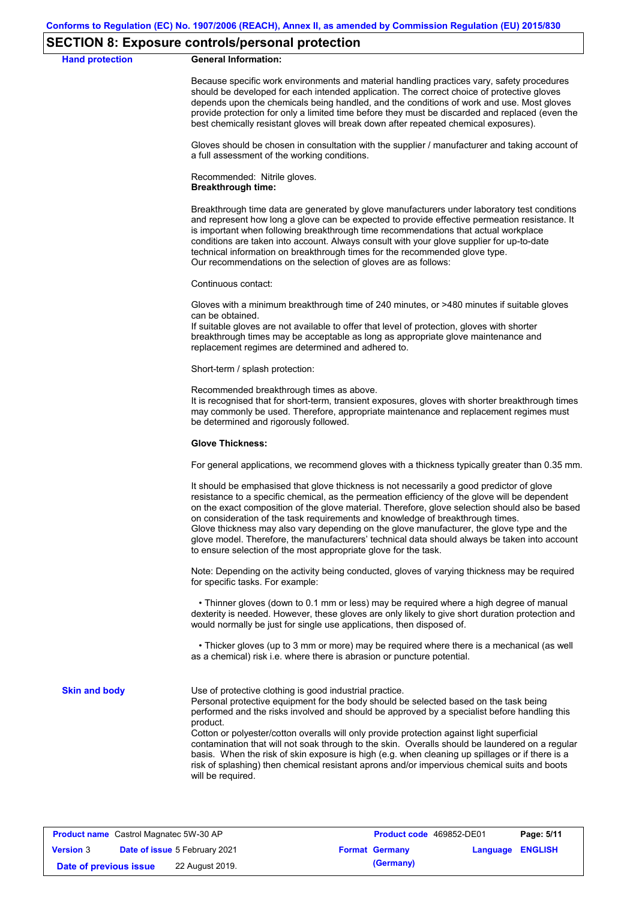### **SECTION 8: Exposure controls/personal protection**

**Hand protection** 

|  | <b>General Information:</b> |
|--|-----------------------------|
|--|-----------------------------|

Because specific work environments and material handling practices vary, safety procedures should be developed for each intended application. The correct choice of protective gloves depends upon the chemicals being handled, and the conditions of work and use. Most gloves provide protection for only a limited time before they must be discarded and replaced (even the best chemically resistant gloves will break down after repeated chemical exposures).

Gloves should be chosen in consultation with the supplier / manufacturer and taking account of a full assessment of the working conditions.

Recommended: Nitrile gloves. **Breakthrough time:**

Breakthrough time data are generated by glove manufacturers under laboratory test conditions and represent how long a glove can be expected to provide effective permeation resistance. It is important when following breakthrough time recommendations that actual workplace conditions are taken into account. Always consult with your glove supplier for up-to-date technical information on breakthrough times for the recommended glove type. Our recommendations on the selection of gloves are as follows:

Continuous contact:

Gloves with a minimum breakthrough time of 240 minutes, or >480 minutes if suitable gloves can be obtained.

If suitable gloves are not available to offer that level of protection, gloves with shorter breakthrough times may be acceptable as long as appropriate glove maintenance and replacement regimes are determined and adhered to.

Short-term / splash protection:

Recommended breakthrough times as above.

It is recognised that for short-term, transient exposures, gloves with shorter breakthrough times may commonly be used. Therefore, appropriate maintenance and replacement regimes must be determined and rigorously followed.

#### **Glove Thickness:**

For general applications, we recommend gloves with a thickness typically greater than 0.35 mm.

It should be emphasised that glove thickness is not necessarily a good predictor of glove resistance to a specific chemical, as the permeation efficiency of the glove will be dependent on the exact composition of the glove material. Therefore, glove selection should also be based on consideration of the task requirements and knowledge of breakthrough times. Glove thickness may also vary depending on the glove manufacturer, the glove type and the glove model. Therefore, the manufacturers' technical data should always be taken into account to ensure selection of the most appropriate glove for the task.

Note: Depending on the activity being conducted, gloves of varying thickness may be required for specific tasks. For example:

 • Thinner gloves (down to 0.1 mm or less) may be required where a high degree of manual dexterity is needed. However, these gloves are only likely to give short duration protection and would normally be just for single use applications, then disposed of.

 • Thicker gloves (up to 3 mm or more) may be required where there is a mechanical (as well as a chemical) risk i.e. where there is abrasion or puncture potential.

**Skin and body**

Use of protective clothing is good industrial practice.

Personal protective equipment for the body should be selected based on the task being performed and the risks involved and should be approved by a specialist before handling this product.

Cotton or polyester/cotton overalls will only provide protection against light superficial contamination that will not soak through to the skin. Overalls should be laundered on a regular basis. When the risk of skin exposure is high (e.g. when cleaning up spillages or if there is a risk of splashing) then chemical resistant aprons and/or impervious chemical suits and boots will be required.

| <b>Product name</b> Castrol Magnatec 5W-30 AP            |  |                 | Product code 469852-DE01 | Page: 5/11              |  |  |
|----------------------------------------------------------|--|-----------------|--------------------------|-------------------------|--|--|
| <b>Date of issue 5 February 2021</b><br><b>Version 3</b> |  |                 | <b>Format Germany</b>    | <b>Language ENGLISH</b> |  |  |
| Date of previous issue                                   |  | 22 August 2019. |                          | (Germany)               |  |  |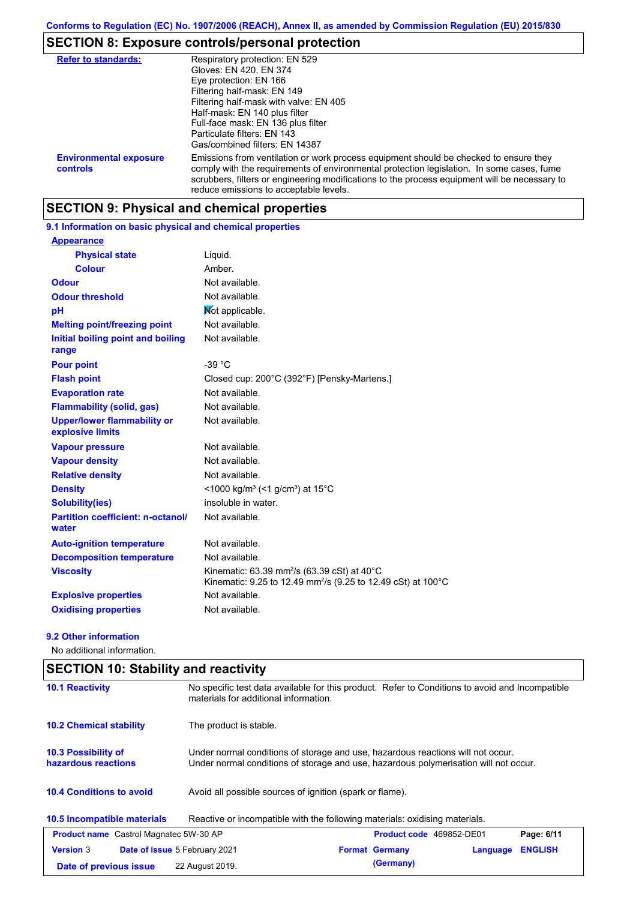# **SECTION 8: Exposure controls/personal protection**

| <b>Refer to standards:</b>                | Respiratory protection: EN 529                                                                                                                                                                                                                                                                                                |
|-------------------------------------------|-------------------------------------------------------------------------------------------------------------------------------------------------------------------------------------------------------------------------------------------------------------------------------------------------------------------------------|
|                                           | Gloves: EN 420, EN 374                                                                                                                                                                                                                                                                                                        |
|                                           | Eye protection: EN 166                                                                                                                                                                                                                                                                                                        |
|                                           | Filtering half-mask: EN 149                                                                                                                                                                                                                                                                                                   |
|                                           | Filtering half-mask with valve: EN 405                                                                                                                                                                                                                                                                                        |
|                                           | Half-mask: EN 140 plus filter                                                                                                                                                                                                                                                                                                 |
|                                           | Full-face mask: EN 136 plus filter                                                                                                                                                                                                                                                                                            |
|                                           | Particulate filters: EN 143                                                                                                                                                                                                                                                                                                   |
|                                           | Gas/combined filters: EN 14387                                                                                                                                                                                                                                                                                                |
| <b>Environmental exposure</b><br>controls | Emissions from ventilation or work process equipment should be checked to ensure they<br>comply with the requirements of environmental protection legislation. In some cases, fume<br>scrubbers, filters or engineering modifications to the process equipment will be necessary to<br>reduce emissions to acceptable levels. |

# **SECTION 9: Physical and chemical properties**

### **9.1 Information on basic physical and chemical properties**

| <b>Appearance</b>                                      |                                                                                                                                                                  |
|--------------------------------------------------------|------------------------------------------------------------------------------------------------------------------------------------------------------------------|
| <b>Physical state</b>                                  | Liquid.                                                                                                                                                          |
| <b>Colour</b>                                          | Amber.                                                                                                                                                           |
| <b>Odour</b>                                           | Not available.                                                                                                                                                   |
| <b>Odour threshold</b>                                 | Not available.                                                                                                                                                   |
| pH                                                     | Mot applicable.                                                                                                                                                  |
| <b>Melting point/freezing point</b>                    | Not available.                                                                                                                                                   |
| Initial boiling point and boiling<br>range             | Not available.                                                                                                                                                   |
| <b>Pour point</b>                                      | $-39 °C$                                                                                                                                                         |
| <b>Flash point</b>                                     | Closed cup: 200°C (392°F) [Pensky-Martens.]                                                                                                                      |
| <b>Evaporation rate</b>                                | Not available.                                                                                                                                                   |
| <b>Flammability (solid, gas)</b>                       | Not available.                                                                                                                                                   |
| <b>Upper/lower flammability or</b><br>explosive limits | Not available.                                                                                                                                                   |
| <b>Vapour pressure</b>                                 | Not available.                                                                                                                                                   |
| <b>Vapour density</b>                                  | Not available.                                                                                                                                                   |
| <b>Relative density</b>                                | Not available.                                                                                                                                                   |
| <b>Density</b>                                         | <1000 kg/m <sup>3</sup> (<1 g/cm <sup>3</sup> ) at 15 <sup>°</sup> C                                                                                             |
| Solubility(ies)                                        | insoluble in water.                                                                                                                                              |
| <b>Partition coefficient: n-octanol/</b><br>water      | Not available.                                                                                                                                                   |
| <b>Auto-ignition temperature</b>                       | Not available.                                                                                                                                                   |
| <b>Decomposition temperature</b>                       | Not available.                                                                                                                                                   |
| <b>Viscosity</b>                                       | Kinematic: $63.39$ mm <sup>2</sup> /s $(63.39 \text{ cSt})$ at $40^{\circ} \text{C}$<br>Kinematic: 9.25 to 12.49 mm <sup>2</sup> /s (9.25 to 12.49 cSt) at 100°C |
| <b>Explosive properties</b>                            | Not available.                                                                                                                                                   |
| <b>Oxidising properties</b>                            | Not available.                                                                                                                                                   |

#### **9.2 Other information**

No additional information.

| <b>SECTION 10: Stability and reactivity</b>                                                                                                                        |                                                                                                                                                                         |  |  |  |
|--------------------------------------------------------------------------------------------------------------------------------------------------------------------|-------------------------------------------------------------------------------------------------------------------------------------------------------------------------|--|--|--|
| No specific test data available for this product. Refer to Conditions to avoid and Incompatible<br><b>10.1 Reactivity</b><br>materials for additional information. |                                                                                                                                                                         |  |  |  |
| <b>10.2 Chemical stability</b>                                                                                                                                     | The product is stable.                                                                                                                                                  |  |  |  |
| 10.3 Possibility of<br>hazardous reactions                                                                                                                         | Under normal conditions of storage and use, hazardous reactions will not occur.<br>Under normal conditions of storage and use, hazardous polymerisation will not occur. |  |  |  |
| <b>10.4 Conditions to avoid</b>                                                                                                                                    | Avoid all possible sources of ignition (spark or flame).                                                                                                                |  |  |  |
| 10.5 Incompatible materials                                                                                                                                        | Reactive or incompatible with the following materials: oxidising materials.                                                                                             |  |  |  |
| <b>Product name</b> Castrol Magnatec 5W-30 AP                                                                                                                      | Product code 469852-DE01<br>Page: 6/11                                                                                                                                  |  |  |  |
| <b>Version 3</b><br><b>Date of issue 5 February 2021</b>                                                                                                           | <b>ENGLISH</b><br><b>Format Germany</b><br>Language                                                                                                                     |  |  |  |
| Date of previous issue                                                                                                                                             | (Germany)<br>22 August 2019.                                                                                                                                            |  |  |  |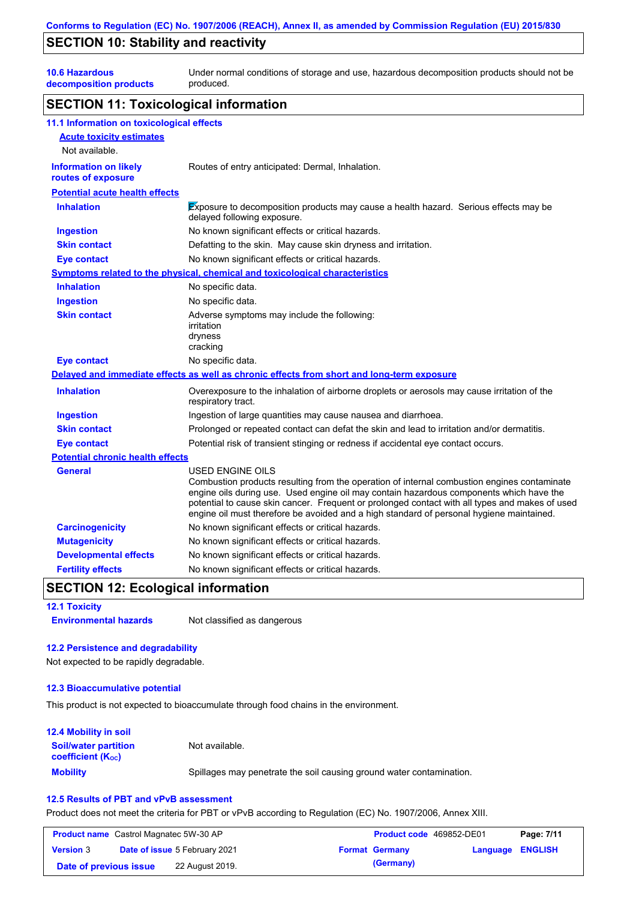### **SECTION 10: Stability and reactivity**

**10.6 Hazardous** 

**decomposition products**

Under normal conditions of storage and use, hazardous decomposition products should not be produced.

### **SECTION 11: Toxicological information**

| 11.1 Information on toxicological effects          |                                                                                                                                                                                                                                                                                                                                                                                                                 |
|----------------------------------------------------|-----------------------------------------------------------------------------------------------------------------------------------------------------------------------------------------------------------------------------------------------------------------------------------------------------------------------------------------------------------------------------------------------------------------|
| <b>Acute toxicity estimates</b>                    |                                                                                                                                                                                                                                                                                                                                                                                                                 |
| Not available.                                     |                                                                                                                                                                                                                                                                                                                                                                                                                 |
| <b>Information on likely</b><br>routes of exposure | Routes of entry anticipated: Dermal, Inhalation.                                                                                                                                                                                                                                                                                                                                                                |
| <b>Potential acute health effects</b>              |                                                                                                                                                                                                                                                                                                                                                                                                                 |
| <b>Inhalation</b>                                  | Exposure to decomposition products may cause a health hazard. Serious effects may be<br>delayed following exposure.                                                                                                                                                                                                                                                                                             |
| <b>Ingestion</b>                                   | No known significant effects or critical hazards.                                                                                                                                                                                                                                                                                                                                                               |
| <b>Skin contact</b>                                | Defatting to the skin. May cause skin dryness and irritation.                                                                                                                                                                                                                                                                                                                                                   |
| <b>Eye contact</b>                                 | No known significant effects or critical hazards.                                                                                                                                                                                                                                                                                                                                                               |
|                                                    | <b>Symptoms related to the physical, chemical and toxicological characteristics</b>                                                                                                                                                                                                                                                                                                                             |
| <b>Inhalation</b>                                  | No specific data.                                                                                                                                                                                                                                                                                                                                                                                               |
| <b>Ingestion</b>                                   | No specific data.                                                                                                                                                                                                                                                                                                                                                                                               |
| <b>Skin contact</b>                                | Adverse symptoms may include the following:<br>irritation<br>dryness<br>cracking                                                                                                                                                                                                                                                                                                                                |
| <b>Eye contact</b>                                 | No specific data.                                                                                                                                                                                                                                                                                                                                                                                               |
|                                                    | Delayed and immediate effects as well as chronic effects from short and long-term exposure                                                                                                                                                                                                                                                                                                                      |
| <b>Inhalation</b>                                  | Overexposure to the inhalation of airborne droplets or aerosols may cause irritation of the<br>respiratory tract.                                                                                                                                                                                                                                                                                               |
| <b>Ingestion</b>                                   | Ingestion of large quantities may cause nausea and diarrhoea.                                                                                                                                                                                                                                                                                                                                                   |
| <b>Skin contact</b>                                | Prolonged or repeated contact can defat the skin and lead to irritation and/or dermatitis.                                                                                                                                                                                                                                                                                                                      |
| <b>Eye contact</b>                                 | Potential risk of transient stinging or redness if accidental eye contact occurs.                                                                                                                                                                                                                                                                                                                               |
| <b>Potential chronic health effects</b>            |                                                                                                                                                                                                                                                                                                                                                                                                                 |
| General                                            | <b>USED ENGINE OILS</b><br>Combustion products resulting from the operation of internal combustion engines contaminate<br>engine oils during use. Used engine oil may contain hazardous components which have the<br>potential to cause skin cancer. Frequent or prolonged contact with all types and makes of used<br>engine oil must therefore be avoided and a high standard of personal hygiene maintained. |
| <b>Carcinogenicity</b>                             | No known significant effects or critical hazards.                                                                                                                                                                                                                                                                                                                                                               |
| <b>Mutagenicity</b>                                | No known significant effects or critical hazards.                                                                                                                                                                                                                                                                                                                                                               |
| <b>Developmental effects</b>                       | No known significant effects or critical hazards.                                                                                                                                                                                                                                                                                                                                                               |
| <b>Fertility effects</b>                           | No known significant effects or critical hazards.                                                                                                                                                                                                                                                                                                                                                               |
|                                                    |                                                                                                                                                                                                                                                                                                                                                                                                                 |

# **SECTION 12: Ecological information**

**12.1 Toxicity**

**Environmental hazards** Not classified as dangerous

### **12.2 Persistence and degradability**

Not expected to be rapidly degradable.

#### **12.3 Bioaccumulative potential**

This product is not expected to bioaccumulate through food chains in the environment.

#### **Mobility** Spillages may penetrate the soil causing ground water contamination. **12.4 Mobility in soil Soil/water partition coefficient (KOC)** Not available.

#### **12.5 Results of PBT and vPvB assessment**

Product does not meet the criteria for PBT or vPvB according to Regulation (EC) No. 1907/2006, Annex XIII.

| <b>Product name</b> Castrol Magnatec 5W-30 AP |  | <b>Product code</b> 469852-DE01      |  | Page: 7/11            |                         |  |
|-----------------------------------------------|--|--------------------------------------|--|-----------------------|-------------------------|--|
| <b>Version 3</b>                              |  | <b>Date of issue 5 February 2021</b> |  | <b>Format Germany</b> | <b>Language ENGLISH</b> |  |
| Date of previous issue                        |  | 22 August 2019.                      |  | (Germany)             |                         |  |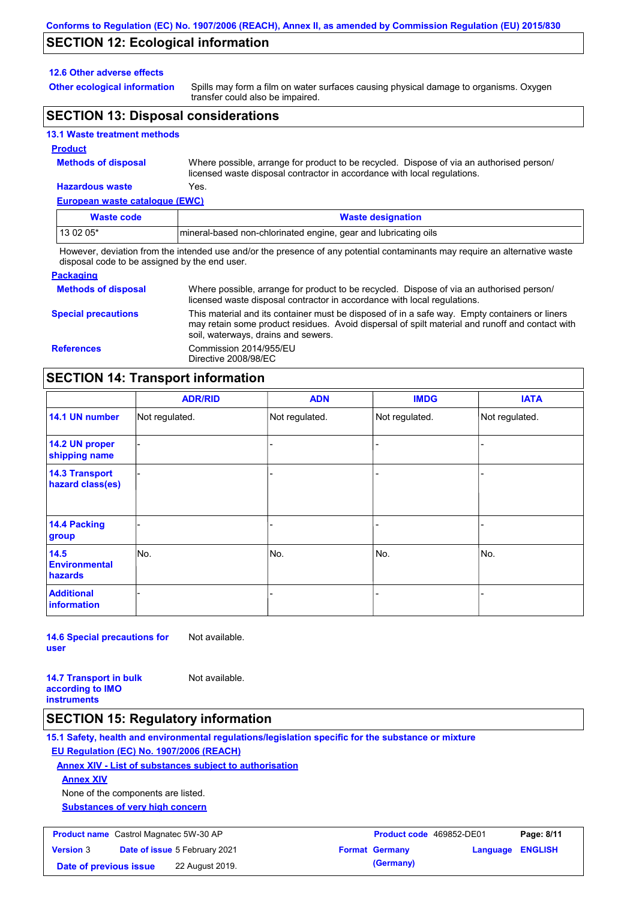### **SECTION 12: Ecological information**

#### **12.6 Other adverse effects**

**Other ecological information**

Spills may form a film on water surfaces causing physical damage to organisms. Oxygen transfer could also be impaired.

### **SECTION 13: Disposal considerations**

### **13.1 Waste treatment methods**

#### **Product**

**Methods of disposal**

Where possible, arrange for product to be recycled. Dispose of via an authorised person/ licensed waste disposal contractor in accordance with local regulations.

### **Hazardous waste** Yes.

| European waste catalogue (EWC) |                                                                                                                             |  |
|--------------------------------|-----------------------------------------------------------------------------------------------------------------------------|--|
| <b>Waste code</b>              | <b>Waste designation</b>                                                                                                    |  |
| 13 02 05*                      | Imineral-based non-chlorinated engine, gear and lubricating oils                                                            |  |
|                                | However, deviation from the intended use and/or the presence of any potential contaminants may require an alternative waste |  |

disposal code to be assigned by the end user.

| <b>Packaging</b>           |                                                                                                                                                                                                                                         |
|----------------------------|-----------------------------------------------------------------------------------------------------------------------------------------------------------------------------------------------------------------------------------------|
| <b>Methods of disposal</b> | Where possible, arrange for product to be recycled. Dispose of via an authorised person/<br>licensed waste disposal contractor in accordance with local regulations.                                                                    |
| <b>Special precautions</b> | This material and its container must be disposed of in a safe way. Empty containers or liners<br>may retain some product residues. Avoid dispersal of spilt material and runoff and contact with<br>soil, waterways, drains and sewers. |
| <b>References</b>          | Commission 2014/955/EU<br>Directive 2008/98/EC                                                                                                                                                                                          |

### **SECTION 14: Transport information**

|                                           | <b>ADR/RID</b> | <b>ADN</b>     | <b>IMDG</b>    | <b>IATA</b>    |  |
|-------------------------------------------|----------------|----------------|----------------|----------------|--|
| 14.1 UN number                            | Not regulated. | Not regulated. | Not regulated. | Not regulated. |  |
| 14.2 UN proper<br>shipping name           |                |                |                |                |  |
| <b>14.3 Transport</b><br>hazard class(es) |                |                | ÷              |                |  |
| 14.4 Packing<br>group                     |                |                |                |                |  |
| 14.5<br><b>Environmental</b><br>hazards   | No.            | No.            | No.            | No.            |  |
| <b>Additional</b><br><b>information</b>   |                |                |                |                |  |

**14.6 Special precautions for user** Not available.

**14.7 Transport in bulk according to IMO instruments**

### **SECTION 15: Regulatory information**

**15.1 Safety, health and environmental regulations/legislation specific for the substance or mixture**

### **EU Regulation (EC) No. 1907/2006 (REACH)**

**Annex XIV - List of substances subject to authorisation**

Not available.

**Annex XIV**

None of the components are listed.

**Substances of very high concern**

| <b>Product name</b> Castrol Magnatec 5W-30 AP |                                      |                 | <b>Product code</b> 469852-DE01 |                       | Page: 8/11              |  |
|-----------------------------------------------|--------------------------------------|-----------------|---------------------------------|-----------------------|-------------------------|--|
| <b>Version 3</b>                              | <b>Date of issue 5 February 2021</b> |                 |                                 | <b>Format Germany</b> | <b>Language ENGLISH</b> |  |
| Date of previous issue                        |                                      | 22 August 2019. |                                 | (Germany)             |                         |  |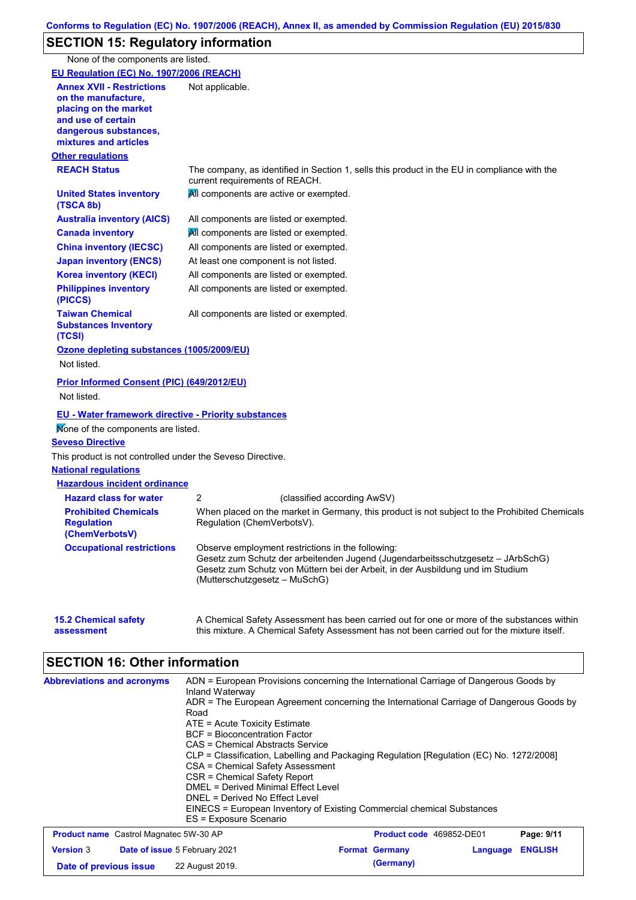# **SECTION 15: Regulatory information**

None of the components are listed.

| <b>EU Regulation (EC) No. 1907/2006 (REACH)</b>                                                                                                          |                                                                                                                                                                                                                                                         |
|----------------------------------------------------------------------------------------------------------------------------------------------------------|---------------------------------------------------------------------------------------------------------------------------------------------------------------------------------------------------------------------------------------------------------|
| <b>Annex XVII - Restrictions</b><br>on the manufacture.<br>placing on the market<br>and use of certain<br>dangerous substances,<br>mixtures and articles | Not applicable.                                                                                                                                                                                                                                         |
| <b>Other regulations</b>                                                                                                                                 |                                                                                                                                                                                                                                                         |
| <b>REACH Status</b>                                                                                                                                      | The company, as identified in Section 1, sells this product in the EU in compliance with the<br>current requirements of REACH.                                                                                                                          |
| <b>United States inventory</b><br>(TSCA 8b)                                                                                                              | All components are active or exempted.                                                                                                                                                                                                                  |
| <b>Australia inventory (AICS)</b>                                                                                                                        | All components are listed or exempted.                                                                                                                                                                                                                  |
| <b>Canada inventory</b>                                                                                                                                  | All components are listed or exempted.                                                                                                                                                                                                                  |
| <b>China inventory (IECSC)</b>                                                                                                                           | All components are listed or exempted.                                                                                                                                                                                                                  |
| <b>Japan inventory (ENCS)</b>                                                                                                                            | At least one component is not listed.                                                                                                                                                                                                                   |
| <b>Korea inventory (KECI)</b>                                                                                                                            | All components are listed or exempted.                                                                                                                                                                                                                  |
| <b>Philippines inventory</b><br>(PICCS)                                                                                                                  | All components are listed or exempted.                                                                                                                                                                                                                  |
| <b>Taiwan Chemical</b><br><b>Substances Inventory</b><br>(TCSI)                                                                                          | All components are listed or exempted.                                                                                                                                                                                                                  |
| Ozone depleting substances (1005/2009/EU)                                                                                                                |                                                                                                                                                                                                                                                         |
| Not listed.                                                                                                                                              |                                                                                                                                                                                                                                                         |
| Prior Informed Consent (PIC) (649/2012/EU)<br>Not listed.                                                                                                |                                                                                                                                                                                                                                                         |
| EU - Water framework directive - Priority substances                                                                                                     |                                                                                                                                                                                                                                                         |
| Mone of the components are listed.                                                                                                                       |                                                                                                                                                                                                                                                         |
| <b>Seveso Directive</b>                                                                                                                                  |                                                                                                                                                                                                                                                         |
| This product is not controlled under the Seveso Directive.                                                                                               |                                                                                                                                                                                                                                                         |
| <b>National regulations</b>                                                                                                                              |                                                                                                                                                                                                                                                         |
| <b>Hazardous incident ordinance</b>                                                                                                                      |                                                                                                                                                                                                                                                         |
| <b>Hazard class for water</b>                                                                                                                            | 2<br>(classified according AwSV)                                                                                                                                                                                                                        |
| <b>Prohibited Chemicals</b><br><b>Regulation</b><br>(ChemVerbotsV)                                                                                       | When placed on the market in Germany, this product is not subject to the Prohibited Chemicals<br>Regulation (ChemVerbotsV).                                                                                                                             |
| <b>Occupational restrictions</b>                                                                                                                         | Observe employment restrictions in the following:<br>Gesetz zum Schutz der arbeitenden Jugend (Jugendarbeitsschutzgesetz - JArbSchG)<br>Gesetz zum Schutz von Müttern bei der Arbeit, in der Ausbildung und im Studium<br>(Mutterschutzgesetz – MuSchG) |
| <b>15.2 Chemical safety</b><br>assessment                                                                                                                | A Chemical Safety Assessment has been carried out for one or more of the substances within<br>this mixture. A Chemical Safety Assessment has not been carried out for the mixture itself.                                                               |

# **SECTION 16: Other information**

| <b>Abbreviations and acronyms</b>                        | ADN = European Provisions concerning the International Carriage of Dangerous Goods by<br>Inland Waterway<br>ADR = The European Agreement concerning the International Carriage of Dangerous Goods by<br>Road<br>ATE = Acute Toxicity Estimate<br>BCF = Bioconcentration Factor<br>CAS = Chemical Abstracts Service<br>CLP = Classification, Labelling and Packaging Regulation [Regulation (EC) No. 1272/2008]<br>CSA = Chemical Safety Assessment<br>CSR = Chemical Safety Report<br>DMEL = Derived Minimal Effect Level<br>DNEL = Derived No Effect Level<br>EINECS = European Inventory of Existing Commercial chemical Substances<br>ES = Exposure Scenario |                          |          |                |
|----------------------------------------------------------|-----------------------------------------------------------------------------------------------------------------------------------------------------------------------------------------------------------------------------------------------------------------------------------------------------------------------------------------------------------------------------------------------------------------------------------------------------------------------------------------------------------------------------------------------------------------------------------------------------------------------------------------------------------------|--------------------------|----------|----------------|
| <b>Product name</b> Castrol Magnatec 5W-30 AP            |                                                                                                                                                                                                                                                                                                                                                                                                                                                                                                                                                                                                                                                                 | Product code 469852-DE01 |          | Page: 9/11     |
| <b>Version 3</b><br><b>Date of issue 5 February 2021</b> |                                                                                                                                                                                                                                                                                                                                                                                                                                                                                                                                                                                                                                                                 | <b>Format Germany</b>    | Language | <b>ENGLISH</b> |
| Date of previous issue                                   | 22 August 2019.                                                                                                                                                                                                                                                                                                                                                                                                                                                                                                                                                                                                                                                 | (Germany)                |          |                |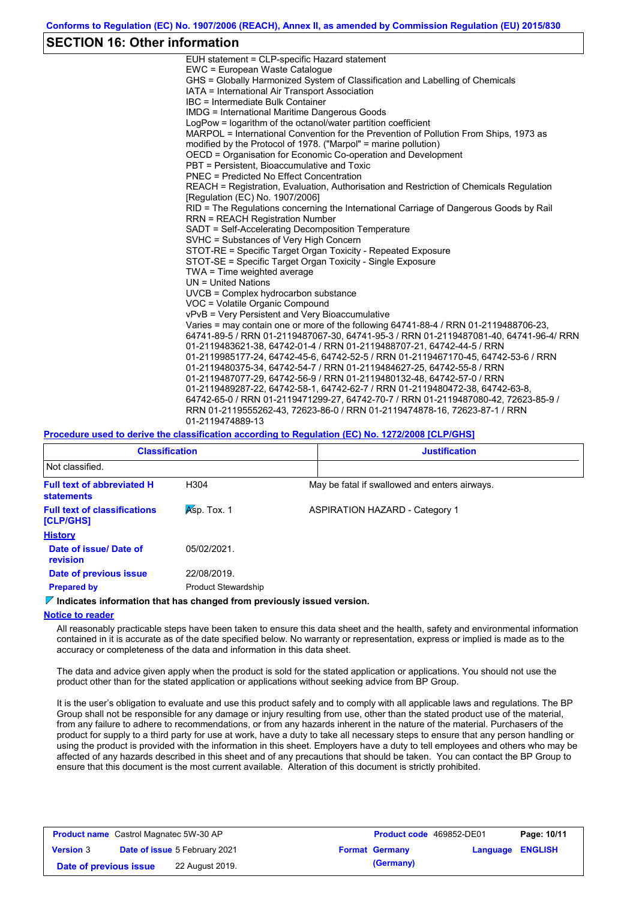### **SECTION 16: Other information**

| EUH statement = CLP-specific Hazard statement                                           |
|-----------------------------------------------------------------------------------------|
| EWC = European Waste Catalogue                                                          |
| GHS = Globally Harmonized System of Classification and Labelling of Chemicals           |
| IATA = International Air Transport Association                                          |
| IBC = Intermediate Bulk Container                                                       |
| <b>IMDG = International Maritime Dangerous Goods</b>                                    |
| LogPow = logarithm of the octanol/water partition coefficient                           |
| MARPOL = International Convention for the Prevention of Pollution From Ships, 1973 as   |
| modified by the Protocol of 1978. ("Marpol" = marine pollution)                         |
| OECD = Organisation for Economic Co-operation and Development                           |
| PBT = Persistent. Bioaccumulative and Toxic                                             |
| <b>PNEC</b> = Predicted No Effect Concentration                                         |
| REACH = Registration, Evaluation, Authorisation and Restriction of Chemicals Regulation |
| [Regulation (EC) No. 1907/2006]                                                         |
| RID = The Regulations concerning the International Carriage of Dangerous Goods by Rail  |
| <b>RRN = REACH Registration Number</b>                                                  |
| SADT = Self-Accelerating Decomposition Temperature                                      |
| SVHC = Substances of Very High Concern                                                  |
| STOT-RE = Specific Target Organ Toxicity - Repeated Exposure                            |
| STOT-SE = Specific Target Organ Toxicity - Single Exposure                              |
| TWA = Time weighted average                                                             |
| $UN = United Nations$                                                                   |
| UVCB = Complex hydrocarbon substance                                                    |
| VOC = Volatile Organic Compound                                                         |
| vPvB = Very Persistent and Very Bioaccumulative                                         |
| Varies = may contain one or more of the following 64741-88-4 / RRN 01-2119488706-23.    |
| 64741-89-5 / RRN 01-2119487067-30, 64741-95-3 / RRN 01-2119487081-40, 64741-96-4/ RRN   |
| 01-2119483621-38, 64742-01-4 / RRN 01-2119488707-21, 64742-44-5 / RRN                   |
| 01-2119985177-24, 64742-45-6, 64742-52-5 / RRN 01-2119467170-45, 64742-53-6 / RRN       |
| 01-2119480375-34, 64742-54-7 / RRN 01-2119484627-25, 64742-55-8 / RRN                   |
| 01-2119487077-29, 64742-56-9 / RRN 01-2119480132-48, 64742-57-0 / RRN                   |
| 01-2119489287-22, 64742-58-1, 64742-62-7 / RRN 01-2119480472-38, 64742-63-8,            |
| 64742-65-0 / RRN 01-2119471299-27, 64742-70-7 / RRN 01-2119487080-42, 72623-85-9 /      |
| RRN 01-2119555262-43, 72623-86-0 / RRN 01-2119474878-16, 72623-87-1 / RRN               |
| 01-2119474889-13                                                                        |

### **Procedure used to derive the classification according to Regulation (EC) No. 1272/2008 [CLP/GHS]**

| <b>Classification</b>                                  |                            | <b>Justification</b> |                                               |  |
|--------------------------------------------------------|----------------------------|----------------------|-----------------------------------------------|--|
| Not classified.                                        |                            |                      |                                               |  |
| <b>Full text of abbreviated H</b><br><b>statements</b> | H304                       |                      | May be fatal if swallowed and enters airways. |  |
| <b>Full text of classifications</b><br>[CLP/GHS]       | $Ksp.$ Tox. 1              |                      | <b>ASPIRATION HAZARD - Category 1</b>         |  |
| <b>History</b>                                         |                            |                      |                                               |  |
| Date of issue/Date of<br>revision                      | 05/02/2021.                |                      |                                               |  |
| Date of previous issue                                 | 22/08/2019.                |                      |                                               |  |
| <b>Prepared by</b>                                     | <b>Product Stewardship</b> |                      |                                               |  |

#### **Indicates information that has changed from previously issued version.**

#### **Notice to reader**

All reasonably practicable steps have been taken to ensure this data sheet and the health, safety and environmental information contained in it is accurate as of the date specified below. No warranty or representation, express or implied is made as to the accuracy or completeness of the data and information in this data sheet.

The data and advice given apply when the product is sold for the stated application or applications. You should not use the product other than for the stated application or applications without seeking advice from BP Group.

It is the user's obligation to evaluate and use this product safely and to comply with all applicable laws and regulations. The BP Group shall not be responsible for any damage or injury resulting from use, other than the stated product use of the material, from any failure to adhere to recommendations, or from any hazards inherent in the nature of the material. Purchasers of the product for supply to a third party for use at work, have a duty to take all necessary steps to ensure that any person handling or using the product is provided with the information in this sheet. Employers have a duty to tell employees and others who may be affected of any hazards described in this sheet and of any precautions that should be taken. You can contact the BP Group to ensure that this document is the most current available. Alteration of this document is strictly prohibited.

| <b>Product name</b> Castrol Magnatec 5W-30 AP |                                      |                       | <b>Product code</b> 469852-DE01 | Page: 10/11 |
|-----------------------------------------------|--------------------------------------|-----------------------|---------------------------------|-------------|
| <b>Version 3</b>                              | <b>Date of issue 5 February 2021</b> | <b>Format Germany</b> | <b>Language ENGLISH</b>         |             |
| Date of previous issue                        | 22 August 2019.                      | (Germany)             |                                 |             |